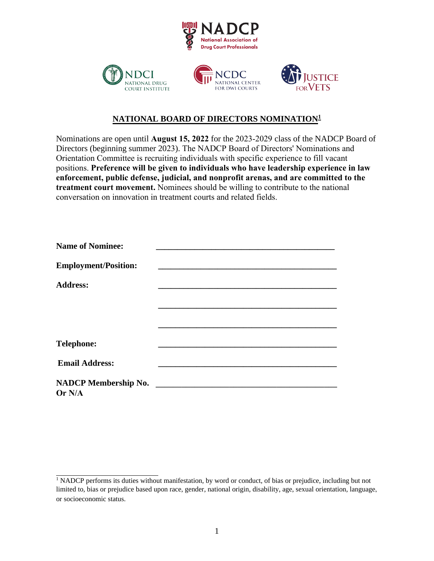







## **NATIONAL BOARD OF DIRECTORS NOMINATION<sup>1</sup>**

Nominations are open until **August 15, 2022** for the 2023-2029 class of the NADCP Board of Directors (beginning summer 2023). The NADCP Board of Directors' Nominations and Orientation Committee is recruiting individuals with specific experience to fill vacant positions. **Preference will be given to individuals who have leadership experience in law enforcement, public defense, judicial, and nonprofit arenas, and are committed to the treatment court movement.** Nominees should be willing to contribute to the national conversation on innovation in treatment courts and related fields.

| <b>Name of Nominee:</b>     |                                                                                                                       |  |
|-----------------------------|-----------------------------------------------------------------------------------------------------------------------|--|
| <b>Employment/Position:</b> |                                                                                                                       |  |
| <b>Address:</b>             | <u> 1989 - Johann Harry Harry Harry Harry Harry Harry Harry Harry Harry Harry Harry Harry Harry Harry Harry Harry</u> |  |
|                             |                                                                                                                       |  |
|                             |                                                                                                                       |  |
| <b>Telephone:</b>           |                                                                                                                       |  |
| <b>Email Address:</b>       |                                                                                                                       |  |
| <b>NADCP Membership No.</b> |                                                                                                                       |  |
| Or N/A                      |                                                                                                                       |  |

<sup>&</sup>lt;sup>1</sup> NADCP performs its duties without manifestation, by word or conduct, of bias or prejudice, including but not limited to, bias or prejudice based upon race, gender, national origin, disability, age, sexual orientation, language, or socioeconomic status.